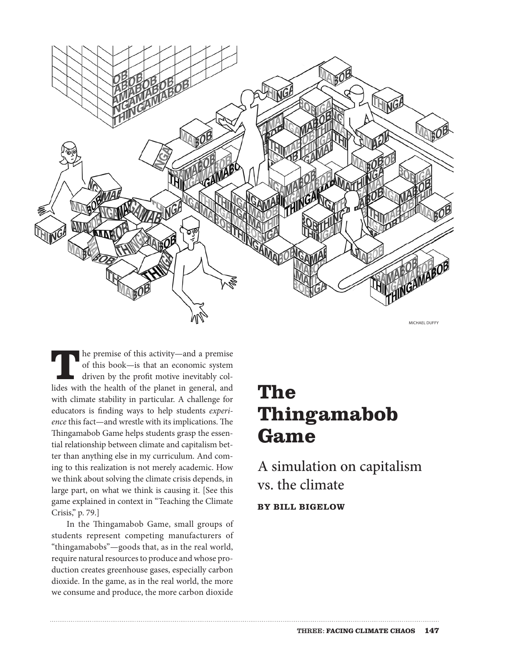

The premise of this activity—and a premise<br>of this book—is that an economic system<br>driven by the profit motive inevitably col-<br>lides with the health of the planet in general and of this book—is that an economic system driven by the profit motive inevitably collides with the health of the planet in general, and with climate stability in particular. A challenge for educators is finding ways to help students *experience* this fact—and wrestle with its implications. The Thingamabob Game helps students grasp the essential relationship between climate and capitalism better than anything else in my curriculum. And coming to this realization is not merely academic. How we think about solving the climate crisis depends, in large part, on what we think is causing it. [See this game explained in context in "Teaching the Climate Crisis," p. 79.]

In the Thingamabob Game, small groups of students represent competing manufacturers of "thingamabobs"—goods that, as in the real world, require natural resources to produce and whose production creates greenhouse gases, especially carbon dioxide. In the game, as in the real world, the more we consume and produce, the more carbon dioxide

# The Thingamabob Game

A simulation on capitalism vs. the climate

BY BILL BIGELOW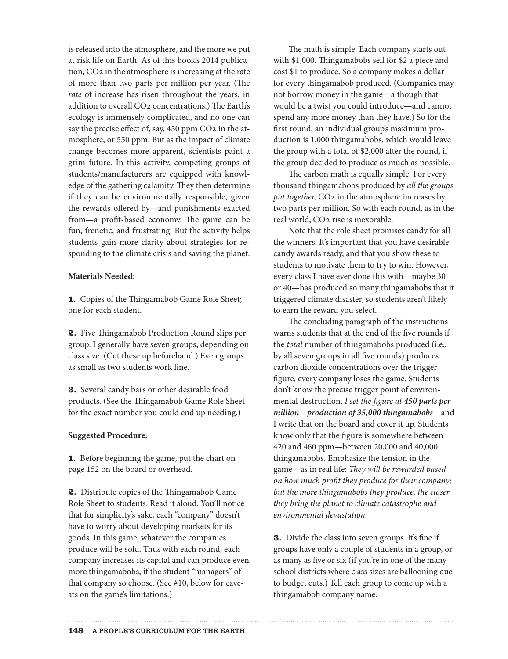is released into the atmosphere, and the more we put at risk life on Earth. As of this book's 2014 publication, CO2 in the atmosphere is increasing at the rate of more than two parts per million per year. (The *rate* of increase has risen throughout the years, in addition to overall CO2 concentrations.) The Earth's ecology is immensely complicated, and no one can say the precise effect of, say, 450 ppm CO<sub>2</sub> in the atmosphere, or 550 ppm. But as the impact of climate change becomes more apparent, scientists paint a grim future. In this activity, competing groups of students/manufacturers are equipped with knowledge of the gathering calamity. They then determine if they can be environmentally responsible, given the rewards offered by—and punishments exacted from—a profit-based economy. The game can be fun, frenetic, and frustrating. But the activity helps students gain more clarity about strategies for responding to the climate crisis and saving the planet.

#### **Materials Needed:**

1. Copies of the Thingamabob Game Role Sheet; one for each student.

2. Five Thingamabob Production Round slips per group. I generally have seven groups, depending on class size. (Cut these up beforehand.) Even groups as small as two students work fine.

3. Several candy bars or other desirable food products. (See the Thingamabob Game Role Sheet for the exact number you could end up needing.)

#### **Suggested Procedure:**

1. Before beginning the game, put the chart on page 152 on the board or overhead.

2. Distribute copies of the Thingamabob Game Role Sheet to students. Read it aloud. You'll notice that for simplicity's sake, each "company" doesn't have to worry about developing markets for its goods. In this game, whatever the companies produce will be sold. Thus with each round, each company increases its capital and can produce even more thingamabobs, if the student "managers" of that company so choose. (See #10, below for caveats on the game's limitations.)

 The math is simple: Each company starts out with \$1,000. Thingamabobs sell for \$2 a piece and cost \$1 to produce. So a company makes a dollar for every thingamabob produced. (Companies may not borrow money in the game—although that would be a twist you could introduce—and cannot spend any more money than they have.) So for the first round, an individual group's maximum production is 1,000 thingamabobs, which would leave the group with a total of \$2,000 after the round, if the group decided to produce as much as possible.

The carbon math is equally simple. For every thousand thingamabobs produced by *all the groups put together,* CO2 in the atmosphere increases by two parts per million. So with each round, as in the real world, CO2 rise is inexorable.

Note that the role sheet promises candy for all the winners. It's important that you have desirable candy awards ready, and that you show these to students to motivate them to try to win. However, every class I have ever done this with—maybe 30 or 40—has produced so many thingamabobs that it triggered climate disaster, so students aren't likely to earn the reward you select.

The concluding paragraph of the instructions warns students that at the end of the five rounds if the *total* number of thingamabobs produced (i.e., by all seven groups in all five rounds) produces carbon dioxide concentrations over the trigger figure, every company loses the game. Students don't know the precise trigger point of environmental destruction. *I set the figure at 450 parts per million—production of 35,000 thingamabobs*—and I write that on the board and cover it up. Students know only that the figure is somewhere between 420 and 460 ppm—between 20,000 and 40,000 thingamabobs. Emphasize the tension in the game—as in real life: *They will be rewarded based on how much profit they produce for their company; but the more thingamabobs they produce, the closer they bring the planet to climate catastrophe and environmental devastation.*

**3.** Divide the class into seven groups. It's fine if groups have only a couple of students in a group, or as many as five or six (if you're in one of the many school districts where class sizes are ballooning due to budget cuts.) Tell each group to come up with a thingamabob company name.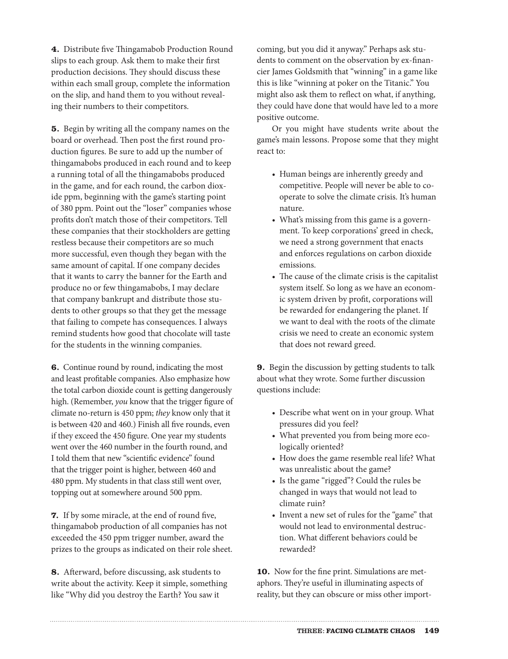4. Distribute five Thingamabob Production Round slips to each group. Ask them to make their first production decisions. They should discuss these within each small group, complete the information on the slip, and hand them to you without revealing their numbers to their competitors.

5. Begin by writing all the company names on the board or overhead. Then post the first round production figures. Be sure to add up the number of thingamabobs produced in each round and to keep a running total of all the thingamabobs produced in the game, and for each round, the carbon dioxide ppm, beginning with the game's starting point of 380 ppm. Point out the "loser" companies whose profits don't match those of their competitors. Tell these companies that their stockholders are getting restless because their competitors are so much more successful, even though they began with the same amount of capital. If one company decides that it wants to carry the banner for the Earth and produce no or few thingamabobs, I may declare that company bankrupt and distribute those students to other groups so that they get the message that failing to compete has consequences. I always remind students how good that chocolate will taste for the students in the winning companies.

6. Continue round by round, indicating the most and least profitable companies. Also emphasize how the total carbon dioxide count is getting dangerously high. (Remember, *you* know that the trigger figure of climate no-return is 450 ppm; *they* know only that it is between 420 and 460.) Finish all five rounds, even if they exceed the 450 figure. One year my students went over the 460 number in the fourth round, and I told them that new "scientific evidence" found that the trigger point is higher, between 460 and 480 ppm. My students in that class still went over, topping out at somewhere around 500 ppm.

7. If by some miracle, at the end of round five, thingamabob production of all companies has not exceeded the 450 ppm trigger number, award the prizes to the groups as indicated on their role sheet.

8. Afterward, before discussing, ask students to write about the activity. Keep it simple, something like "Why did you destroy the Earth? You saw it

coming, but you did it anyway." Perhaps ask students to comment on the observation by ex-financier James Goldsmith that "winning" in a game like this is like "winning at poker on the Titanic." You might also ask them to reflect on what, if anything, they could have done that would have led to a more positive outcome.

Or you might have students write about the game's main lessons. Propose some that they might react to:

- Human beings are inherently greedy and competitive. People will never be able to cooperate to solve the climate crisis. It's human nature.
- What's missing from this game is a government. To keep corporations' greed in check, we need a strong government that enacts and enforces regulations on carbon dioxide emissions.
- The cause of the climate crisis is the capitalist system itself. So long as we have an economic system driven by profit, corporations will be rewarded for endangering the planet. If we want to deal with the roots of the climate crisis we need to create an economic system that does not reward greed.

9. Begin the discussion by getting students to talk about what they wrote. Some further discussion questions include:

- Describe what went on in your group. What pressures did you feel?
- What prevented you from being more ecologically oriented?
- How does the game resemble real life? What was unrealistic about the game?
- Is the game "rigged"? Could the rules be changed in ways that would not lead to climate ruin?
- Invent a new set of rules for the "game" that would not lead to environmental destruction. What different behaviors could be rewarded?

10. Now for the fine print. Simulations are metaphors. They're useful in illuminating aspects of reality, but they can obscure or miss other import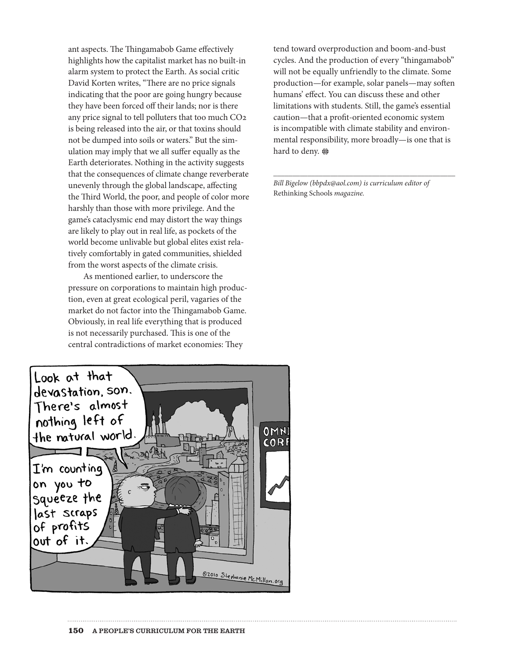ant aspects. The Thingamabob Game effectively highlights how the capitalist market has no built-in alarm system to protect the Earth. As social critic David Korten writes, "There are no price signals indicating that the poor are going hungry because they have been forced off their lands; nor is there any price signal to tell polluters that too much CO2 is being released into the air, or that toxins should not be dumped into soils or waters." But the simulation may imply that we all suffer equally as the Earth deteriorates. Nothing in the activity suggests that the consequences of climate change reverberate unevenly through the global landscape, affecting the Third World, the poor, and people of color more harshly than those with more privilege. And the game's cataclysmic end may distort the way things are likely to play out in real life, as pockets of the world become unlivable but global elites exist relatively comfortably in gated communities, shielded from the worst aspects of the climate crisis.

 As mentioned earlier, to underscore the pressure on corporations to maintain high production, even at great ecological peril, vagaries of the market do not factor into the Thingamabob Game. Obviously, in real life everything that is produced is not necessarily purchased. This is one of the central contradictions of market economies: They



Look at that devastation, son. There's almost nothing left of **OMN** the natural world. CORI I'm counting on you to squeeze the last scraps of profits out of it. 02010 Stephanie McMillan.org

tend toward overproduction and boom-and-bust cycles. And the production of every "thingamabob" will not be equally unfriendly to the climate. Some production—for example, solar panels—may soften humans' effect. You can discuss these and other limitations with students. Still, the game's essential caution—that a profit-oriented economic system is incompatible with climate stability and environmental responsibility, more broadly—is one that is hard to deny. @

*Bill Bigelow (bbpdx@aol.com) is curriculum editor of*  Rethinking Schools *magazine.*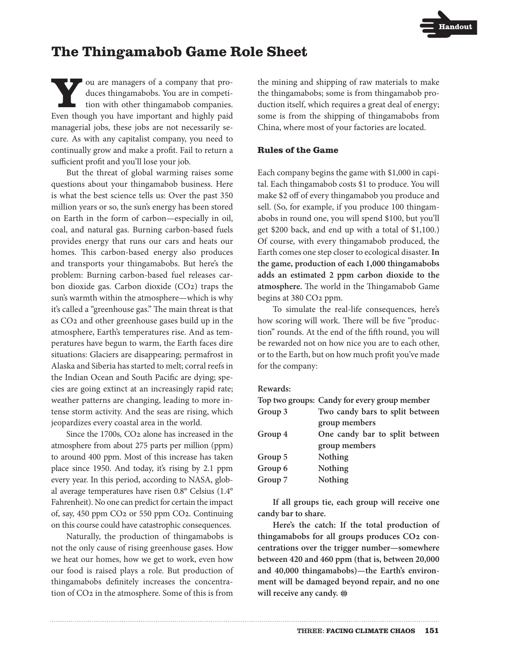

### The Thingamabob Game Role Sheet

The course managers of a company that pro-<br>duces thing amabobs. You are in competi-<br>tion with other thing amabob companies.<br>Even though you have important and highly paid duces thingamabobs. You are in competition with other thingamabob companies. Even though you have important and highly paid managerial jobs, these jobs are not necessarily secure. As with any capitalist company, you need to continually grow and make a profit. Fail to return a sufficient profit and you'll lose your job.

But the threat of global warming raises some questions about your thingamabob business. Here is what the best science tells us: Over the past 350 million years or so, the sun's energy has been stored on Earth in the form of carbon—especially in oil, coal, and natural gas. Burning carbon-based fuels provides energy that runs our cars and heats our homes. This carbon-based energy also produces and transports your thingamabobs. But here's the problem: Burning carbon-based fuel releases carbon dioxide gas. Carbon dioxide (CO2) traps the sun's warmth within the atmosphere—which is why it's called a "greenhouse gas." The main threat is that as CO2 and other greenhouse gases build up in the atmosphere, Earth's temperatures rise. And as temperatures have begun to warm, the Earth faces dire situations: Glaciers are disappearing; permafrost in Alaska and Siberia has started to melt; corral reefs in the Indian Ocean and South Pacific are dying; species are going extinct at an increasingly rapid rate; weather patterns are changing, leading to more intense storm activity. And the seas are rising, which jeopardizes every coastal area in the world.

Since the 1700s, CO2 alone has increased in the atmosphere from about 275 parts per million (ppm) to around 400 ppm. Most of this increase has taken place since 1950. And today, it's rising by 2.1 ppm every year. In this period, according to NASA, global average temperatures have risen 0.8° Celsius (1.4° Fahrenheit). No one can predict for certain the impact of, say, 450 ppm CO2 or 550 ppm CO2. Continuing on this course could have catastrophic consequences.

Naturally, the production of thingamabobs is not the only cause of rising greenhouse gases. How we heat our homes, how we get to work, even how our food is raised plays a role. But production of thingamabobs definitely increases the concentration of CO2 in the atmosphere. Some of this is from

the mining and shipping of raw materials to make the thingamabobs; some is from thingamabob production itself, which requires a great deal of energy; some is from the shipping of thingamabobs from China, where most of your factories are located.

### Rules of the Game

Each company begins the game with \$1,000 in capital. Each thingamabob costs \$1 to produce. You will make \$2 off of every thingamabob you produce and sell. (So, for example, if you produce 100 thingamabobs in round one, you will spend \$100, but you'll get \$200 back, and end up with a total of \$1,100.) Of course, with every thingamabob produced, the Earth comes one step closer to ecological disaster. **In the game, production of each 1,000 thingamabobs adds an estimated 2 ppm carbon dioxide to the atmosphere.** The world in the Thingamabob Game begins at 380 CO2 ppm.

To simulate the real-life consequences, here's how scoring will work. There will be five "production" rounds. At the end of the fifth round, you will be rewarded not on how nice you are to each other, or to the Earth, but on how much profit you've made for the company:

#### **Rewards:**

|         | Top two groups: Candy for every group member |
|---------|----------------------------------------------|
| Group 3 | Two candy bars to split between              |
|         | group members                                |
| Group 4 | One candy bar to split between               |
|         | group members                                |
| Group 5 | <b>Nothing</b>                               |
| Group 6 | <b>Nothing</b>                               |
| Group 7 | <b>Nothing</b>                               |

**If all groups tie, each group will receive one candy bar to share.**

**Here's the catch: If the total production of thingamabobs for all groups produces CO2 concentrations over the trigger number—somewhere between 420 and 460 ppm (that is, between 20,000 and 40,000 thingamabobs)—the Earth's environment will be damaged beyond repair, and no one**  will receive any candy.  $\circledast$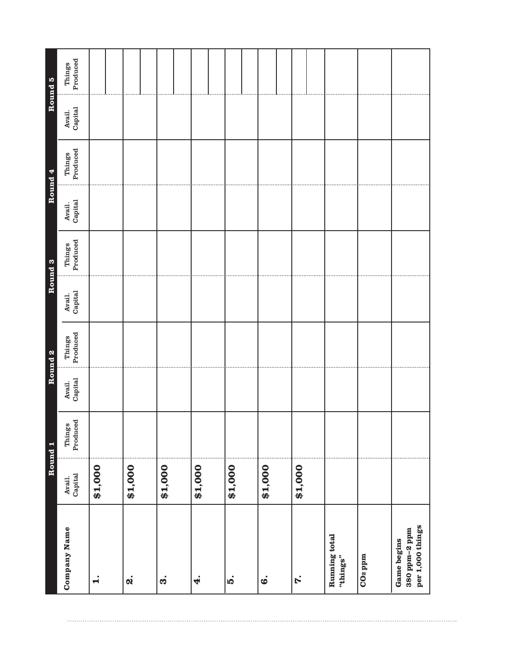|                                                         | Round <sub>1</sub> |                    |                   | Round <sub>2</sub> | Round 3           |                    | Round <sub>4</sub> |                    | Round 5           |                    |
|---------------------------------------------------------|--------------------|--------------------|-------------------|--------------------|-------------------|--------------------|--------------------|--------------------|-------------------|--------------------|
| Company Name                                            | Avail.<br>Capital  | Things<br>Produced | Avail.<br>Capital | Things<br>Produced | Avail.<br>Capital | Things<br>Produced | Avail.<br>Capital  | Things<br>Produced | Avail.<br>Capital | Things<br>Produced |
| $\div$                                                  | \$1,000            |                    |                   |                    |                   |                    |                    |                    |                   |                    |
| $\dot{\mathbf{N}}$                                      | \$1,000            |                    |                   |                    |                   |                    |                    |                    |                   |                    |
| $\dot{\boldsymbol{\omega}}$                             | \$1,000            |                    |                   |                    |                   |                    |                    |                    |                   |                    |
| 4.                                                      | \$1,000            |                    |                   |                    |                   |                    |                    |                    |                   |                    |
| າວຸ່                                                    | \$1,000            |                    |                   |                    |                   |                    |                    |                    |                   |                    |
| $\ddot{\circ}$                                          | \$1,000            |                    |                   |                    |                   |                    |                    |                    |                   |                    |
| Ι.                                                      | \$1,000            |                    |                   |                    |                   |                    |                    |                    |                   |                    |
| Running total<br>"things"                               |                    |                    |                   |                    |                   |                    |                    |                    |                   |                    |
| CO <sub>2</sub> ppm                                     |                    |                    |                   |                    |                   |                    |                    |                    |                   |                    |
| per 1,000 things<br>380 ppm-2 ppm<br><b>Game</b> begins |                    |                    |                   |                    |                   |                    |                    |                    |                   |                    |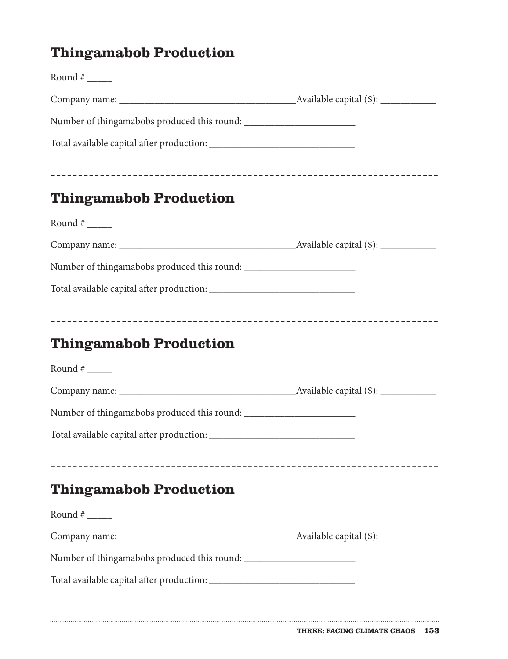### Thingamabob Production

| Round # |                                          |
|---------|------------------------------------------|
|         | $\Delta$ vailable capital (\$): $\Delta$ |
|         |                                          |
|         |                                          |
|         |                                          |
|         |                                          |

### Thingamabob Production

Round # \_\_\_\_\_

| Company name: |  | Available capital (\$): |
|---------------|--|-------------------------|
|               |  |                         |
| ----          |  |                         |

Number of thingamabobs produced this round: \_\_\_\_\_\_\_\_\_\_\_\_\_\_\_\_\_\_\_\_\_\_

Total available capital after production: \_\_\_\_\_\_\_\_\_\_\_\_\_\_\_\_\_\_\_\_\_\_\_\_\_\_\_\_\_\_\_\_\_

-----------------------------------------------------------------------

## Thingamabob Production

| <b>Thingamabob Production</b> |  |
|-------------------------------|--|
|                               |  |
|                               |  |
|                               |  |
|                               |  |